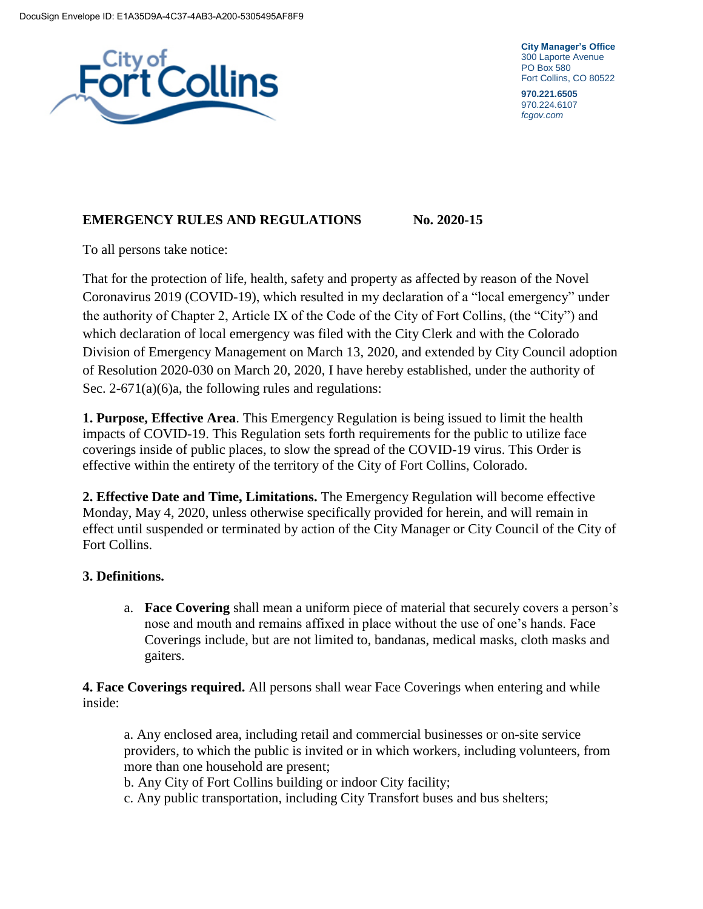

**City Manager's Office** 300 Laporte Avenue PO Box 580 Fort Collins, CO 80522

**970.221.6505** 970.224.6107 *fcgov.com*

## **EMERGENCY RULES AND REGULATIONS No. 2020-15**

To all persons take notice:

That for the protection of life, health, safety and property as affected by reason of the Novel Coronavirus 2019 (COVID-19), which resulted in my declaration of a "local emergency" under the authority of Chapter 2, Article IX of the Code of the City of Fort Collins, (the "City") and which declaration of local emergency was filed with the City Clerk and with the Colorado Division of Emergency Management on March 13, 2020, and extended by City Council adoption of Resolution 2020-030 on March 20, 2020, I have hereby established, under the authority of Sec. 2-671(a)(6)a, the following rules and regulations:

**1. Purpose, Effective Area**. This Emergency Regulation is being issued to limit the health impacts of COVID-19. This Regulation sets forth requirements for the public to utilize face coverings inside of public places, to slow the spread of the COVID-19 virus. This Order is effective within the entirety of the territory of the City of Fort Collins, Colorado.

**2. Effective Date and Time, Limitations.** The Emergency Regulation will become effective Monday, May 4, 2020, unless otherwise specifically provided for herein, and will remain in effect until suspended or terminated by action of the City Manager or City Council of the City of Fort Collins.

## **3. Definitions.**

a. **Face Covering** shall mean a uniform piece of material that securely covers a person's nose and mouth and remains affixed in place without the use of one's hands. Face Coverings include, but are not limited to, bandanas, medical masks, cloth masks and gaiters.

**4. Face Coverings required.** All persons shall wear Face Coverings when entering and while inside:

a. Any enclosed area, including retail and commercial businesses or on-site service providers, to which the public is invited or in which workers, including volunteers, from more than one household are present;

b. Any City of Fort Collins building or indoor City facility;

c. Any public transportation, including City Transfort buses and bus shelters;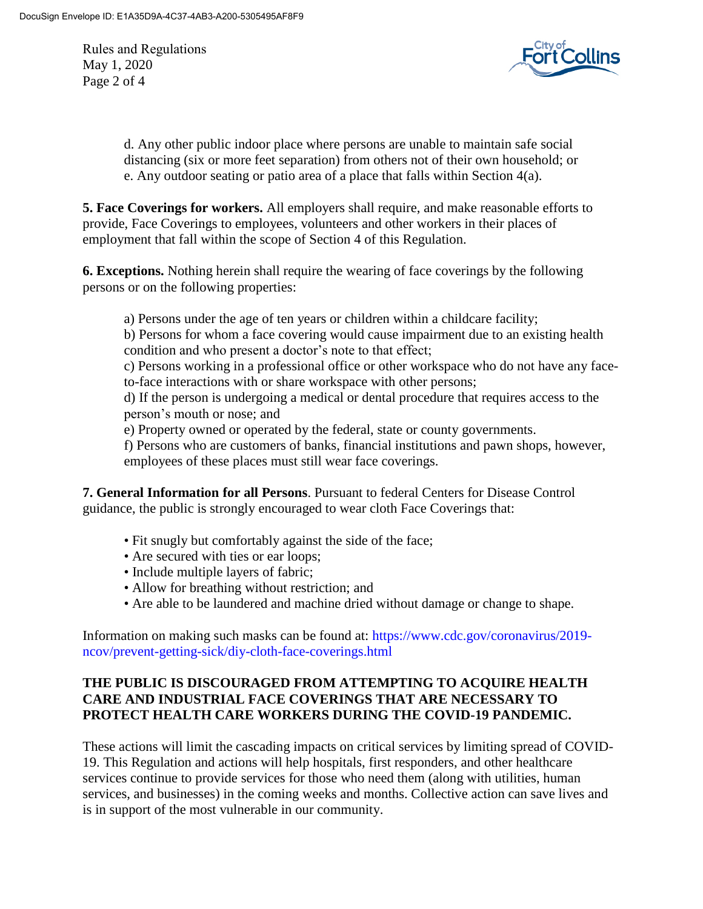Rules and Regulations May 1, 2020 Page 2 of 4



d. Any other public indoor place where persons are unable to maintain safe social distancing (six or more feet separation) from others not of their own household; or e. Any outdoor seating or patio area of a place that falls within Section 4(a).

**5. Face Coverings for workers.** All employers shall require, and make reasonable efforts to provide, Face Coverings to employees, volunteers and other workers in their places of employment that fall within the scope of Section 4 of this Regulation.

**6. Exceptions.** Nothing herein shall require the wearing of face coverings by the following persons or on the following properties:

a) Persons under the age of ten years or children within a childcare facility;

b) Persons for whom a face covering would cause impairment due to an existing health condition and who present a doctor's note to that effect;

c) Persons working in a professional office or other workspace who do not have any faceto-face interactions with or share workspace with other persons;

d) If the person is undergoing a medical or dental procedure that requires access to the person's mouth or nose; and

e) Property owned or operated by the federal, state or county governments.

f) Persons who are customers of banks, financial institutions and pawn shops, however, employees of these places must still wear face coverings.

**7. General Information for all Persons**. Pursuant to federal Centers for Disease Control guidance, the public is strongly encouraged to wear cloth Face Coverings that:

- Fit snugly but comfortably against the side of the face;
- Are secured with ties or ear loops;
- Include multiple layers of fabric;
- Allow for breathing without restriction; and
- Are able to be laundered and machine dried without damage or change to shape.

Information on making such masks can be found at: https://www.cdc.gov/coronavirus/2019 ncov/prevent-getting-sick/diy-cloth-face-coverings.html

## **THE PUBLIC IS DISCOURAGED FROM ATTEMPTING TO ACQUIRE HEALTH CARE AND INDUSTRIAL FACE COVERINGS THAT ARE NECESSARY TO PROTECT HEALTH CARE WORKERS DURING THE COVID-19 PANDEMIC.**

These actions will limit the cascading impacts on critical services by limiting spread of COVID-19. This Regulation and actions will help hospitals, first responders, and other healthcare services continue to provide services for those who need them (along with utilities, human services, and businesses) in the coming weeks and months. Collective action can save lives and is in support of the most vulnerable in our community.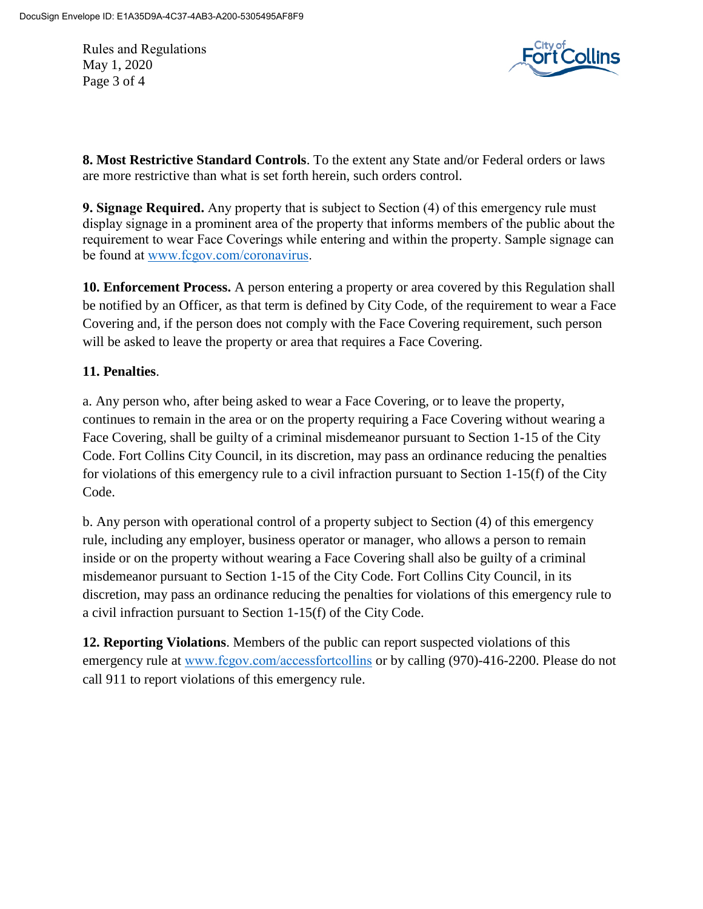Rules and Regulations May 1, 2020 Page 3 of 4



**8. Most Restrictive Standard Controls**. To the extent any State and/or Federal orders or laws are more restrictive than what is set forth herein, such orders control.

**9. Signage Required.** Any property that is subject to Section (4) of this emergency rule must display signage in a prominent area of the property that informs members of the public about the requirement to wear Face Coverings while entering and within the property. Sample signage can be found at [www.fcgov.com/coronavirus.](http://www.fcgov.com/coronavirus)

**10. Enforcement Process.** A person entering a property or area covered by this Regulation shall be notified by an Officer, as that term is defined by City Code, of the requirement to wear a Face Covering and, if the person does not comply with the Face Covering requirement, such person will be asked to leave the property or area that requires a Face Covering.

## **11. Penalties**.

a. Any person who, after being asked to wear a Face Covering, or to leave the property, continues to remain in the area or on the property requiring a Face Covering without wearing a Face Covering, shall be guilty of a criminal misdemeanor pursuant to Section 1-15 of the City Code. Fort Collins City Council, in its discretion, may pass an ordinance reducing the penalties for violations of this emergency rule to a civil infraction pursuant to Section 1-15(f) of the City Code.

b. Any person with operational control of a property subject to Section (4) of this emergency rule, including any employer, business operator or manager, who allows a person to remain inside or on the property without wearing a Face Covering shall also be guilty of a criminal misdemeanor pursuant to Section 1-15 of the City Code. Fort Collins City Council, in its discretion, may pass an ordinance reducing the penalties for violations of this emergency rule to a civil infraction pursuant to Section 1-15(f) of the City Code.

**12. Reporting Violations**. Members of the public can report suspected violations of this emergency rule at [www.fcgov.com/accessfortcollins](http://www.fcgov.com/accessfortcollins) or by calling (970)-416-2200. Please do not call 911 to report violations of this emergency rule.